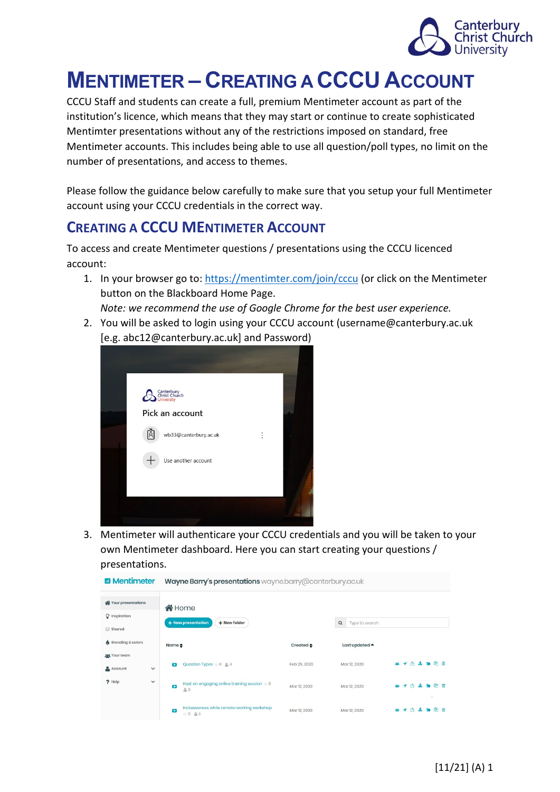

# **MENTIMETER – CREATING A CCCU ACCOUNT**

CCCU Staff and students can create a full, premium Mentimeter account as part of the institution's licence, which means that they may start or continue to create sophisticated Mentimter presentations without any of the restrictions imposed on standard, free Mentimeter accounts. This includes being able to use all question/poll types, no limit on the number of presentations, and access to themes.

Please follow the guidance below carefully to make sure that you setup your full Mentimeter account using your CCCU credentials in the correct way.

#### **CREATING A CCCU MENTIMETER ACCOUNT**

To access and create Mentimeter questions / presentations using the CCCU licenced account:

- 1. In your browser go to:<https://mentimter.com/join/cccu> (or click on the Mentimeter button on the Blackboard Home Page. *Note: we recommend the use of Google Chrome for the best user experience.*
- 2. You will be asked to login using your CCCU account (username@canterbury.ac.uk [e.g. abc12@canterbury.ac.uk] and Password)



3. Mentimeter will authenticare your CCCU credentials and you will be taken to your own Mentimeter dashboard. Here you can start creating your questions / presentations.

| <b>E</b> Mentimeter            |              | Wayne Barry's presentations wayne.barry@canterbury.ac.uk          |                     |                            |                   |
|--------------------------------|--------------|-------------------------------------------------------------------|---------------------|----------------------------|-------------------|
| Your presentations             |              | <b>K</b> Home                                                     |                     |                            |                   |
| $\Omega$ Inspiration<br>Shared |              | + New presentation<br>+ New folder                                |                     | $\alpha$<br>Type to search |                   |
| Branding & colors              |              | Name ≜                                                            | Created $\triangle$ | Last updated $\triangle$   |                   |
| <b>MA</b> Your team<br>Account | $\checkmark$ | Question Types 8 & 4<br>$\mathbf{r}$                              | Feb 25, 2020        | Mar 12, 2020               | 學子自立知伯自           |
| ? Help                         | $\checkmark$ | Host an engaging online training session 68<br>$\bullet$<br>20    | Mar 12, 2020        | Mar 12, 2020               | ■ イ市<br>志道印前<br>٠ |
|                                |              | Inclusiveness while remote working workshop<br>$\bullet$<br>85 80 | Mar 12, 2020        | Mar 12, 2020               | 子内之主的自            |